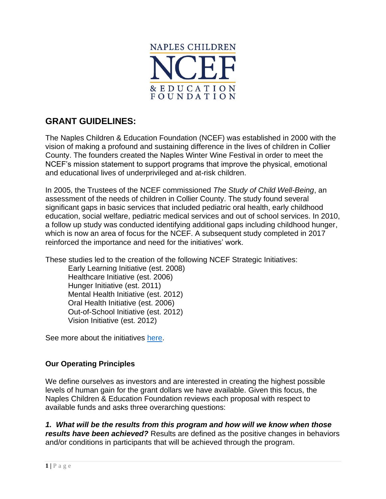

# **GRANT GUIDELINES:**

The Naples Children & Education Foundation (NCEF) was established in 2000 with the vision of making a profound and sustaining difference in the lives of children in Collier County. The founders created the Naples Winter Wine Festival in order to meet the NCEF's mission statement to support programs that improve the physical, emotional and educational lives of underprivileged and at-risk children.

In 2005, the Trustees of the NCEF commissioned *The Study of Child Well-Being*, an assessment of the needs of children in Collier County. The study found several significant gaps in basic services that included pediatric oral health, early childhood education, social welfare, pediatric medical services and out of school services. In 2010, a follow up study was conducted identifying additional gaps including childhood hunger, which is now an area of focus for the NCEF. A subsequent study completed in 2017 reinforced the importance and need for the initiatives' work.

These studies led to the creation of the following NCEF Strategic Initiatives:

Early Learning Initiative (est. 2008) Healthcare Initiative (est. 2006) Hunger Initiative (est. 2011) Mental Health Initiative (est. 2012) Oral Health Initiative (est. 2006) Out-of-School Initiative (est. 2012) Vision Initiative (est. 2012)

See more about the initiatives [here.](http://www.napleswinefestival.com/strategic-initiatives.php)

#### **Our Operating Principles**

We define ourselves as investors and are interested in creating the highest possible levels of human gain for the grant dollars we have available. Given this focus, the Naples Children & Education Foundation reviews each proposal with respect to available funds and asks three overarching questions:

*1. What will be the results from this program and how will we know when those results have been achieved?* Results are defined as the positive changes in behaviors and/or conditions in participants that will be achieved through the program.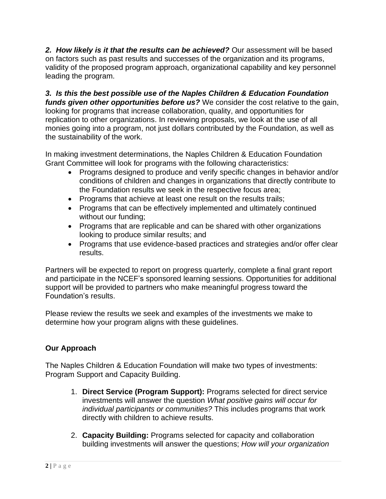*2. How likely is it that the results can be achieved?* Our assessment will be based on factors such as past results and successes of the organization and its programs, validity of the proposed program approach, organizational capability and key personnel leading the program.

*3. Is this the best possible use of the Naples Children & Education Foundation funds given other opportunities before us?* We consider the cost relative to the gain, looking for programs that increase collaboration, quality, and opportunities for replication to other organizations. In reviewing proposals, we look at the use of all monies going into a program, not just dollars contributed by the Foundation, as well as the sustainability of the work.

In making investment determinations, the Naples Children & Education Foundation Grant Committee will look for programs with the following characteristics:

- Programs designed to produce and verify specific changes in behavior and/or conditions of children and changes in organizations that directly contribute to the Foundation results we seek in the respective focus area;
- Programs that achieve at least one result on the results trails;
- Programs that can be effectively implemented and ultimately continued without our funding;
- Programs that are replicable and can be shared with other organizations looking to produce similar results; and
- Programs that use evidence-based practices and strategies and/or offer clear results.

Partners will be expected to report on progress quarterly, complete a final grant report and participate in the NCEF's sponsored learning sessions. Opportunities for additional support will be provided to partners who make meaningful progress toward the Foundation's results.

Please review the results we seek and examples of the investments we make to determine how your program aligns with these guidelines.

## **Our Approach**

The Naples Children & Education Foundation will make two types of investments: Program Support and Capacity Building.

- 1. **Direct Service (Program Support):** Programs selected for direct service investments will answer the question *What positive gains will occur for individual participants or communities?* This includes programs that work directly with children to achieve results.
- 2. **Capacity Building:** Programs selected for capacity and collaboration building investments will answer the questions; *How will your organization*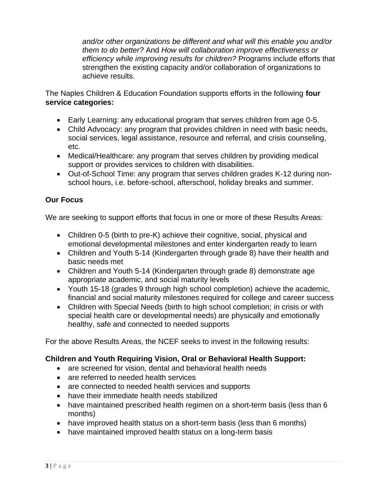*and/or other organizations be different and what will this enable you and/or them to do better?* And *How will collaboration improve effectiveness or efficiency while improving results for children?* Programs include efforts that strengthen the existing capacity and/or collaboration of organizations to achieve results.

The Naples Children & Education Foundation supports efforts in the following **four service categories:**

- Early Learning: any educational program that serves children from age 0-5.
- Child Advocacy: any program that provides children in need with basic needs, social services, legal assistance, resource and referral, and crisis counseling, etc.
- Medical/Healthcare: any program that serves children by providing medical support or provides services to children with disabilities.
- Out-of-School Time: any program that serves children grades K-12 during nonschool hours, i.e. before-school, afterschool, holiday breaks and summer.

### **Our Focus**

We are seeking to support efforts that focus in one or more of these Results Areas:

- Children 0-5 (birth to pre-K) achieve their cognitive, social, physical and emotional developmental milestones and enter kindergarten ready to learn
- Children and Youth 5-14 (Kindergarten through grade 8) have their health and basic needs met
- Children and Youth 5-14 (Kindergarten through grade 8) demonstrate age appropriate academic, and social maturity levels
- Youth 15-18 (grades 9 through high school completion) achieve the academic, financial and social maturity milestones required for college and career success
- Children with Special Needs (birth to high school completion; in crisis or with special health care or developmental needs) are physically and emotionally healthy, safe and connected to needed supports

For the above Results Areas, the NCEF seeks to invest in the following results:

#### **Children and Youth Requiring Vision, Oral or Behavioral Health Support:**

- are screened for vision, dental and behavioral health needs
- are referred to needed health services
- are connected to needed health services and supports
- have their immediate health needs stabilized
- have maintained prescribed health regimen on a short-term basis (less than 6 months)
- have improved health status on a short-term basis (less than 6 months)
- have maintained improved health status on a long-term basis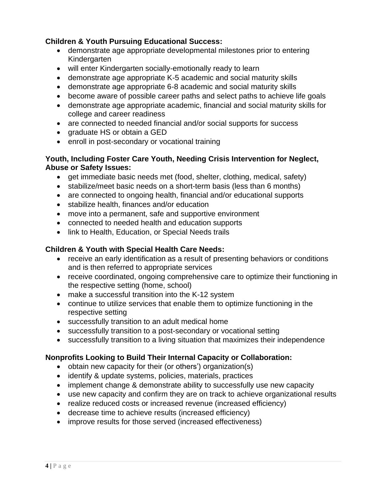#### **Children & Youth Pursuing Educational Success:**

- demonstrate age appropriate developmental milestones prior to entering Kindergarten
- will enter Kindergarten socially-emotionally ready to learn
- demonstrate age appropriate K-5 academic and social maturity skills
- demonstrate age appropriate 6-8 academic and social maturity skills
- become aware of possible career paths and select paths to achieve life goals
- demonstrate age appropriate academic, financial and social maturity skills for college and career readiness
- are connected to needed financial and/or social supports for success
- graduate HS or obtain a GED
- enroll in post-secondary or vocational training

#### **Youth, Including Foster Care Youth, Needing Crisis Intervention for Neglect, Abuse or Safety Issues:**

- get immediate basic needs met (food, shelter, clothing, medical, safety)
- stabilize/meet basic needs on a short-term basis (less than 6 months)
- are connected to ongoing health, financial and/or educational supports
- stabilize health, finances and/or education
- move into a permanent, safe and supportive environment
- connected to needed health and education supports
- link to Health, Education, or Special Needs trails

#### **Children & Youth with Special Health Care Needs:**

- receive an early identification as a result of presenting behaviors or conditions and is then referred to appropriate services
- receive coordinated, ongoing comprehensive care to optimize their functioning in the respective setting (home, school)
- make a successful transition into the K-12 system
- continue to utilize services that enable them to optimize functioning in the respective setting
- successfully transition to an adult medical home
- successfully transition to a post-secondary or vocational setting
- successfully transition to a living situation that maximizes their independence

#### **Nonprofits Looking to Build Their Internal Capacity or Collaboration:**

- obtain new capacity for their (or others') organization(s)
- identify & update systems, policies, materials, practices
- implement change & demonstrate ability to successfully use new capacity
- use new capacity and confirm they are on track to achieve organizational results
- realize reduced costs or increased revenue (increased efficiency)
- decrease time to achieve results (increased efficiency)
- improve results for those served (increased effectiveness)